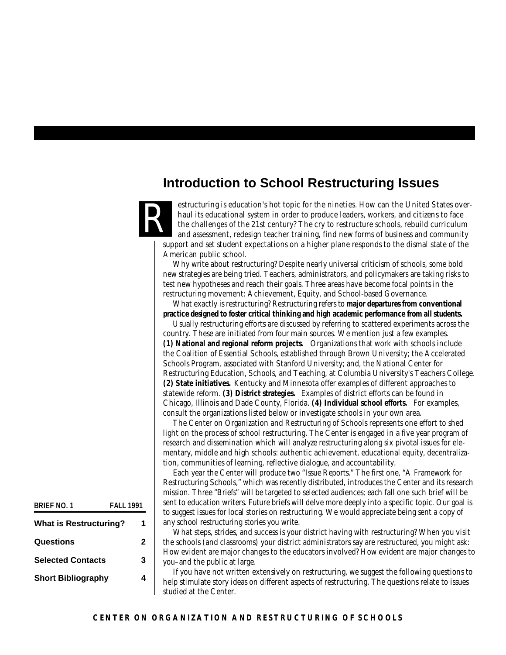## **Introduction to School Restructuring Issues**

estructuring is education's hot topic for the nineties. How can the United States overhaul its educational system in order to produce leaders, workers, and citizens to face the challenges of the 21st century? The cry to restructure schools, rebuild curriculum and assessment, redesign teacher training, find new forms of business and community support and set student expectations on a higher plane responds to the dismal state of the American public school. R

Why write about restructuring? Despite nearly universal criticism of schools, some bold new strategies are being tried. Teachers, administrators, and policymakers are taking risks to test new hypotheses and reach their goals. Three areas have become focal points in the restructuring movement: Achievement, Equity, and School-based Governance.

What exactly is restructuring? Restructuring refers to **major departures from conventional practice designed to foster critical thinking and high academic performance from all students.**

Usually restructuring efforts are discussed by referring to scattered experiments across the country. These are initiated from four main sources. We mention just a few examples. **(1) National and regional reform projects.** Organizations that work with schools include the Coalition of Essential Schools, established through Brown University; the Accelerated Schools Program, associated with Stanford University; and, the National Center for Restructuring Education, Schools, and Teaching, at Columbia University's Teachers College. **(2) State initiatives.** Kentucky and Minnesota offer examples of different approaches to statewide reform. **(3) District strategies.** Examples of district efforts can be found in Chicago, Illinois and Dade County, Florida. **(4) Individual school efforts.** For examples, consult the organizations listed below or investigate schools in your own area.

The Center on Organization and Restructuring of Schools represents one effort to shed light on the process of school restructuring. The Center is engaged in a five year program of research and dissemination which will analyze restructuring along six pivotal issues for elementary, middle and high schools: authentic achievement, educational equity, decentralization, communities of learning, reflective dialogue, and accountability.

Each year the Center will produce two "Issue Reports." The first one, "A Framework for Restructuring Schools," which was recently distributed, introduces the Center and its research mission. Three "Briefs" will be targeted to selected audiences; each fall one such brief will be sent to education writers. Future briefs will delve more deeply into a specific topic. Our goal is to suggest issues for local stories on restructuring. We would appreciate being sent a copy of any school restructuring stories you write.

What steps, strides, and success is your district having with restructuring? When you visit the schools (and classrooms) your district administrators say are restructured, you might ask: How evident are major changes to the educators involved? How evident are major changes to you–and the public at large.

If you have not written extensively on restructuring, we suggest the following questions to help stimulate story ideas on different aspects of restructuring. The questions relate to issues studied at the Center.

| BRIFF NO. 1                   | <b>FAII 1991</b> |   |
|-------------------------------|------------------|---|
| <b>What is Restructuring?</b> |                  | 1 |
| Questions                     |                  | 2 |
| <b>Selected Contacts</b>      |                  | 3 |
| <b>Short Bibliography</b>     |                  |   |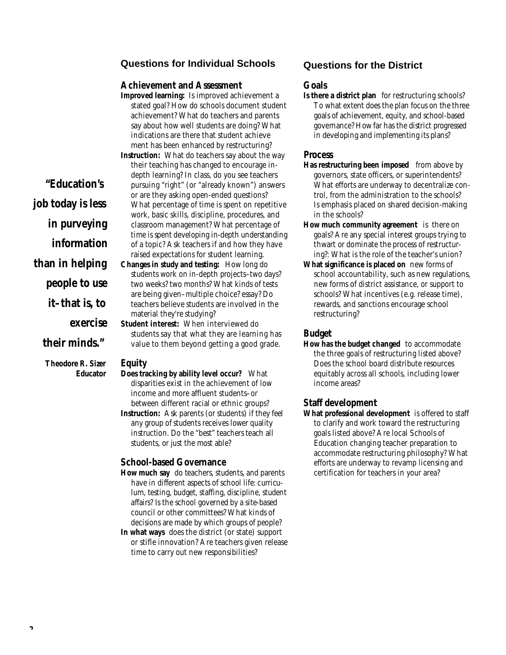## **Questions for Individual Schools**

#### *Achievement and Assessment*

**Improved learning:** Is improved achievement a stated goal? How do schools document student achievement? What do teachers and parents say about how well students are doing? What indications are there that student achieve ment has been enhanced by restructuring?

**Instruction:** What do teachers say about the way their teaching has changed to encourage indepth learning? In class, do you see teachers pursuing "right" (or "already known") answers or are they asking open-ended questions? What percentage of time is spent on repetitive work, basic skills, discipline, procedures, and classroom management? What percentage of time is spent developing in-depth understanding of a topic? Ask teachers if and how they have raised expectations for student learning.

**Changes in study and testing:** How long do students work on in-depth projects–two days? two weeks? two months? What kinds of tests are being given–multiple choice? essay? Do teachers believe students are involved in the material they're studying?

**Student interest:** When interviewed do students say that what they are learning has value to them beyond getting a good grade.

#### *Equity*

- **Does tracking by ability level occur?** What disparities exist in the achievement of low income and more affluent students–or between different racial or ethnic groups?
- **Instruction:** Ask parents (or students) if they feel any group of students receives lower quality instruction. Do the "best" teachers teach all students, or just the most able?

#### *School-based Governance*

- **How much say** do teachers, students, and parents have in different aspects of school life: curriculum, testing, budget, staffing, discipline, student affairs? Is the school governed by a site-based council or other committees? What kinds of decisions are made by which groups of people?
- **In what ways** does the district (or state) support or stifle innovation? Are teachers given release time to carry out new responsibilities?

### **Questions for the District**

#### *Goals*

**Is there a district plan** for restructuring schools? To what extent does the plan focus on the three goals of achievement, equity, and school-based governance? How far has the district progressed in developing and implementing its plans?

#### *Process*

- **Has restructuring been imposed** from above by governors, state officers, or superintendents? What efforts are underway to decentralize control, from the administration to the schools? Is emphasis placed on shared decision-making in the schools?
- **How much community agreement** is there on goals? Are any special interest groups trying to thwart or dominate the process of restructuring?: What is the role of the teacher's union?
- **What significance is placed on** new forms of school accountability, such as new regulations, new forms of district assistance, or support to schools? What incentives (e.g. release time), rewards, and sanctions encourage school restructuring?

#### *Budget*

**How has the budget changed** to accommodate the three goals of restructuring listed above? Does the school board distribute resources equitably across all schools, including lower income areas?

#### *Staff development*

**What professional development** is offered to staff to clarify and work toward the restructuring goals listed above? Are local Schools of Education changing teacher preparation to accommodate restructuring philosophy? What efforts are underway to revamp licensing and certification for teachers in your area?

# *"Education's job today is less in purveying*

*information*

*than in helping*

*people to use*

*it–that is, to*

*exercise* 

## *their minds."*

*Theodore R. Sizer Educator*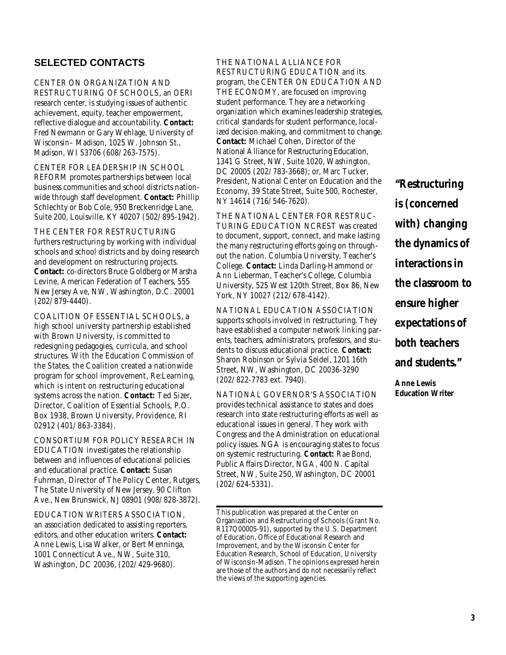## **SELECTED CONTACTS**

CENTER ON ORGANIZATION AND RESTRUCTURING OF SCHOOLS, an OERI research center, is studying issues of authentic achievement, equity, teacher empowerment, reflective dialogue and accountability. **Contact:** Fred Newmann or Gary Wehlage, University of Wisconsin– Madison, 1025 W. Johnson St., Madison, WI 53706 (*608*/ 263-7575).

CENTER FOR LEADERSHIP IN SCHOOL REFORM promotes partnerships between local business communities and school districts nationwide through staff development. **Contact:** Phillip Schlechty or Bob Cole, 950 Breckenridge Lane, Suite 200, Louisville, KY 40207 (*502*/ 895-1942).

THE CENTER FOR RESTRUCTURING furthers restructuring by working with individual schools and school districts and by doing research and development on restructuring projects. **Contact:** co-directors Bruce Goldberg or Marsha Levine, American Federation of Teachers, 555 New Jersey Ave, NW, Washington, D.C. 20001 (*202*/ 879-4440).

COALITION OF ESSENTIAL SCHOOLS, a high school university partnership established with Brown University, is committed to redesigning pedagogies, curricula, and school structures. With the Education Commission of the States, the Coalition created a nationwide program for school improvement, Re:Learning, which is intent on restructuring educational systems across the nation. **Contact:** Ted Sizer, Director, Coalition of Essential Schools, P.O. Box 1938, Brown University, Providence, RI 02912 (401/863-3384).

CONSORTIUM FOR POLICY RESEARCH IN EDUCATION investigates the relationship between and influences of educational policies and educational practice. **Contact:** Susan Fuhrman, Director of The Policy Center, Rutgers, The State University of New Jersey, 90 Clifton Ave., New Brunswick, NJ 08901 (908/ 828-3872).

EDUCATION WRITERS ASSOCIATION, an association dedicated to assisting reporters, editors, and other education writers. **Contact:** Anne Lewis, Lisa Walker, or Bert Menninga, 1001 Connecticut Ave., NW, Suite 310, Washington, DC 20036, (*202*/ 429-9680).

THE NATIONAL ALLIANCE FOR RESTRUCTURING EDUCATION and its program, the CENTER ON EDUCATION AND THE ECONOMY, are focused on improving student performance. They are a networking organization which examines leadership strategies, critical standards for student performance, localized decision making, and commitment to change. Contact: Michael Cohen, Director of the National Alliance for Restructuring Education, 1341 G Street, NW, Suite 1020, Washington, DC 20005 (202/ 783-3668); or, Marc Tucker, President, National Center on Education and the Economy, 39 State Street, Suite 500, Rochester, NY 14614 (*716*/ 546-7620).

THE NATIONAL CENTER FOR RESTRUC-TURING EDUCATION NCREST was created to document, support, connect, and make lasting the many restructuring efforts going on throughout the nation. Columbia University, Teacher's College. **Contact:** Linda Darling-Hammond or Ann Lieberman, Teacher's College, Columbia University, 525 West 120th Street, Box 86, New York, NY 10027 (*212*/ 678-4142).

NATIONAL EDUCATION ASSOCIATION supports schools involved in restructuring. They have established a computer network linking parents, teachers, administrators, professors, and students to discuss educational practice. **Contact:** Sharon Robinson or Sylvia Seidel, 1201 16th Street, NW, Washington, DC 20036-3290 (*202*/ 822-7783 ext. 7940).

NATIONAL GOVERNOR'S ASSOCIATION provides technical assistance to states and does research into state restructuring efforts as well as educational issues in general. They work with Congress and the Administration on educational policy issues. NGA is encouraging states to focus on systemic restructuring. **Contact:** Rae Bond, Public Affairs Director, NGA, 400 N. Capital Street, NW, Suite 250, Washington, DC 20001 (*202*/ 624-5331).

This publication was prepared at the Center on Organization and Restructuring of Schools (Grant No. R117Q00005-91), supported by the U.S. Department of Education, Office of Educational Research and Improvement, and by the Wisconsin Center for Education Research, School of Education, University of Wisconsin-Madison. The opinions expressed herein are those of the authors and do not necessarily reflect the views of the supporting agencies.

*"Restructuring is (concerned with) changing the dynamics of interactions in the classroom to ensure higher expectations of both teachers and students."*

*Anne Lewis Education Writer*